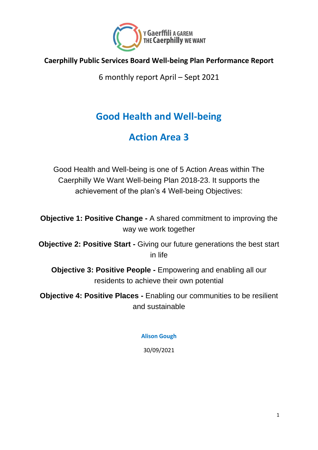

### **Caerphilly Public Services Board Well-being Plan Performance Report**

6 monthly report April – Sept 2021

# **Good Health and Well-being**

### **Action Area 3**

Good Health and Well-being is one of 5 Action Areas within The Caerphilly We Want Well-being Plan 2018-23. It supports the achievement of the plan's 4 Well-being Objectives:

**Objective 1: Positive Change -** A shared commitment to improving the way we work together

**Objective 2: Positive Start -** Giving our future generations the best start in life

**Objective 3: Positive People -** Empowering and enabling all our residents to achieve their own potential

**Objective 4: Positive Places -** Enabling our communities to be resilient and sustainable

### **Alison Gough**

30/09/2021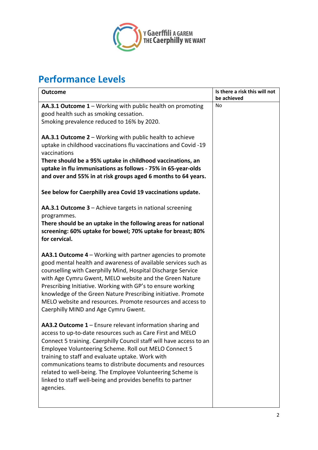

# **Performance Levels**

| <b>Outcome</b>                                                                                                                                                                                                                                                                                                                                                                                                                                                                                                      | Is there a risk this will not<br>be achieved |
|---------------------------------------------------------------------------------------------------------------------------------------------------------------------------------------------------------------------------------------------------------------------------------------------------------------------------------------------------------------------------------------------------------------------------------------------------------------------------------------------------------------------|----------------------------------------------|
| AA.3.1 Outcome 1 - Working with public health on promoting<br>good health such as smoking cessation.<br>Smoking prevalence reduced to 16% by 2020.                                                                                                                                                                                                                                                                                                                                                                  | No                                           |
| AA.3.1 Outcome 2 - Working with public health to achieve<br>uptake in childhood vaccinations flu vaccinations and Covid -19<br>vaccinations<br>There should be a 95% uptake in childhood vaccinations, an<br>uptake in flu immunisations as follows - 75% in 65-year-olds<br>and over and 55% in at risk groups aged 6 months to 64 years.                                                                                                                                                                          |                                              |
| See below for Caerphilly area Covid 19 vaccinations update.                                                                                                                                                                                                                                                                                                                                                                                                                                                         |                                              |
| AA.3.1 Outcome 3 - Achieve targets in national screening<br>programmes.<br>There should be an uptake in the following areas for national<br>screening: 60% uptake for bowel; 70% uptake for breast; 80%<br>for cervical.                                                                                                                                                                                                                                                                                            |                                              |
| AA3.1 Outcome 4 – Working with partner agencies to promote<br>good mental health and awareness of available services such as<br>counselling with Caerphilly Mind, Hospital Discharge Service<br>with Age Cymru Gwent, MELO website and the Green Nature<br>Prescribing Initiative. Working with GP's to ensure working<br>knowledge of the Green Nature Prescribing initiative. Promote<br>MELO website and resources. Promote resources and access to<br>Caerphilly MIND and Age Cymru Gwent.                      |                                              |
| AA3.2 Outcome 1 – Ensure relevant information sharing and<br>access to up-to-date resources such as Care First and MELO<br>Connect 5 training. Caerphilly Council staff will have access to an<br>Employee Volunteering Scheme. Roll out MELO Connect 5<br>training to staff and evaluate uptake. Work with<br>communications teams to distribute documents and resources<br>related to well-being. The Employee Volunteering Scheme is<br>linked to staff well-being and provides benefits to partner<br>agencies. |                                              |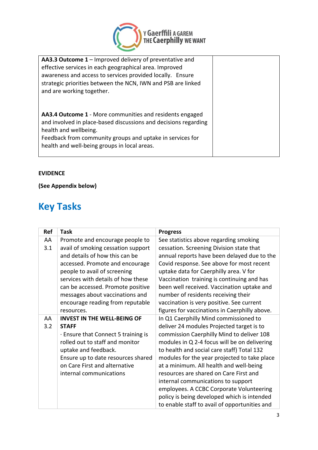

| <b>AA3.3 Outcome 1</b> – Improved delivery of preventative and<br>effective services in each geographical area. Improved<br>awareness and access to services provided locally. Ensure<br>strategic priorities between the NCN, IWN and PSB are linked<br>and are working together. |  |
|------------------------------------------------------------------------------------------------------------------------------------------------------------------------------------------------------------------------------------------------------------------------------------|--|
| AA3.4 Outcome 1 - More communities and residents engaged<br>and involved in place-based discussions and decisions regarding<br>health and wellbeing.<br>Feedback from community groups and uptake in services for<br>health and well-being groups in local areas.                  |  |

### **EVIDENCE**

### **(See Appendix below)**

## **Key Tasks**

| <b>Ref</b> | <b>Task</b>                        | <b>Progress</b>                               |
|------------|------------------------------------|-----------------------------------------------|
| AA         | Promote and encourage people to    | See statistics above regarding smoking        |
| 3.1        | avail of smoking cessation support | cessation. Screening Division state that      |
|            | and details of how this can be     | annual reports have been delayed due to the   |
|            | accessed. Promote and encourage    | Covid response. See above for most recent     |
|            | people to avail of screening       | uptake data for Caerphilly area. V for        |
|            | services with details of how these | Vaccination training is continuing and has    |
|            | can be accessed. Promote positive  | been well received. Vaccination uptake and    |
|            | messages about vaccinations and    | number of residents receiving their           |
|            | encourage reading from reputable   | vaccination is very positive. See current     |
|            | resources.                         | figures for vaccinations in Caerphilly above. |
| AA         | <b>INVEST IN THE WELL-BEING OF</b> | In Q1 Caerphilly Mind commissioned to         |
| 3.2        | <b>STAFF</b>                       | deliver 24 modules Projected target is to     |
|            | Ensure that Connect 5 training is  | commission Caerphilly Mind to deliver 108     |
|            | rolled out to staff and monitor    | modules in Q 2-4 focus will be on delivering  |
|            | uptake and feedback.               | to health and social care staff) Total 132    |
|            | Ensure up to date resources shared | modules for the year projected to take place  |
|            | on Care First and alternative      | at a minimum. All health and well-being       |
|            | internal communications            | resources are shared on Care First and        |
|            |                                    | internal communications to support            |
|            |                                    | employees. A CCBC Corporate Volunteering      |
|            |                                    | policy is being developed which is intended   |
|            |                                    | to enable staff to avail of opportunities and |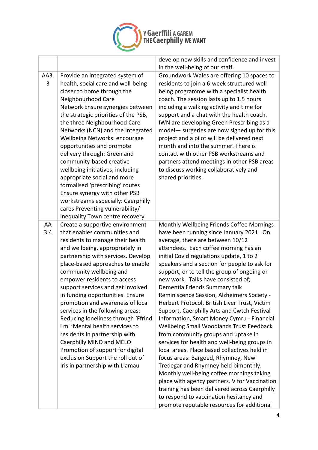

 $\overline{1}$ 

|           |                                                                                                                                                                                                                                                                                                                                                                                                                                                                                                                                                                                                                                                                                | develop new skills and confidence and invest<br>in the well-being of our staff.                                                                                                                                                                                                                                                                                                                                                                                                                                                                                                                                                                                                                                                                                                                                                                                                                                                                                                                                                                                                           |
|-----------|--------------------------------------------------------------------------------------------------------------------------------------------------------------------------------------------------------------------------------------------------------------------------------------------------------------------------------------------------------------------------------------------------------------------------------------------------------------------------------------------------------------------------------------------------------------------------------------------------------------------------------------------------------------------------------|-------------------------------------------------------------------------------------------------------------------------------------------------------------------------------------------------------------------------------------------------------------------------------------------------------------------------------------------------------------------------------------------------------------------------------------------------------------------------------------------------------------------------------------------------------------------------------------------------------------------------------------------------------------------------------------------------------------------------------------------------------------------------------------------------------------------------------------------------------------------------------------------------------------------------------------------------------------------------------------------------------------------------------------------------------------------------------------------|
| AA3.<br>3 | Provide an integrated system of<br>health, social care and well-being<br>closer to home through the<br>Neighbourhood Care<br>Network Ensure synergies between<br>the strategic priorities of the PSB,<br>the three Neighbourhood Care<br>Networks (NCN) and the Integrated<br>Wellbeing Networks: encourage<br>opportunities and promote<br>delivery through: Green and<br>community-based creative<br>wellbeing initiatives, including<br>appropriate social and more<br>formalised 'prescribing' routes<br>Ensure synergy with other PSB<br>workstreams especially: Caerphilly<br>cares Preventing vulnerability/<br>inequality Town centre recovery                         | Groundwork Wales are offering 10 spaces to<br>residents to join a 6-week structured well-<br>being programme with a specialist health<br>coach. The session lasts up to 1.5 hours<br>including a walking activity and time for<br>support and a chat with the health coach.<br>IWN are developing Green Prescribing as a<br>model - surgeries are now signed up for this<br>project and a pilot will be delivered next<br>month and into the summer. There is<br>contact with other PSB workstreams and<br>partners attend meetings in other PSB areas<br>to discuss working collaboratively and<br>shared priorities.                                                                                                                                                                                                                                                                                                                                                                                                                                                                    |
| AA<br>3.4 | Create a supportive environment<br>that enables communities and<br>residents to manage their health<br>and wellbeing, appropriately in<br>partnership with services. Develop<br>place-based approaches to enable<br>community wellbeing and<br>empower residents to access<br>support services and get involved<br>in funding opportunities. Ensure<br>promotion and awareness of local<br>services in the following areas:<br>Reducing loneliness through 'Ffrind<br>i mi 'Mental health services to<br>residents in partnership with<br>Caerphilly MIND and MELO<br>Promotion of support for digital<br>exclusion Support the roll out of<br>Iris in partnership with Llamau | Monthly Wellbeing Friends Coffee Mornings<br>have been running since January 2021. On<br>average, there are between 10/12<br>attendees. Each coffee morning has an<br>initial Covid regulations update, 1 to 2<br>speakers and a section for people to ask for<br>support, or to tell the group of ongoing or<br>new work. Talks have consisted of;<br>Dementia Friends Summary talk<br>Reminiscence Session, Alzheimers Society -<br>Herbert Protocol, British Liver Trust, Victim<br>Support, Caerphilly Arts and Cwtch Festival<br>Information, Smart Money Cymru - Financial<br>Wellbeing Small Woodlands Trust Feedback<br>from community groups and uptake in<br>services for health and well-being groups in<br>local areas. Place based collectives held in<br>focus areas: Bargoed, Rhymney, New<br>Tredegar and Rhymney held bimonthly.<br>Monthly well-being coffee mornings taking<br>place with agency partners. V for Vaccination<br>training has been delivered across Caerphilly<br>to respond to vaccination hesitancy and<br>promote reputable resources for additional |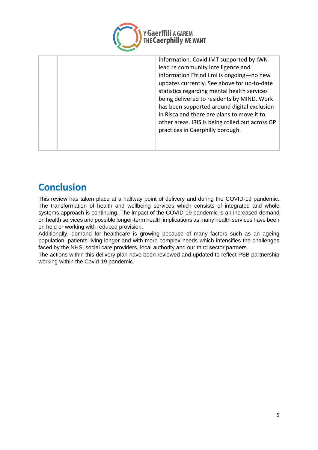

| information Ffrind I mi is ongoing-no new<br>updates currently. See above for up-to-date<br>statistics regarding mental health services<br>being delivered to residents by MIND. Work<br>has been supported around digital exclusion<br>in Risca and there are plans to move it to<br>other areas. IRIS is being rolled out across GP<br>practices in Caerphilly borough. |
|---------------------------------------------------------------------------------------------------------------------------------------------------------------------------------------------------------------------------------------------------------------------------------------------------------------------------------------------------------------------------|
|                                                                                                                                                                                                                                                                                                                                                                           |
|                                                                                                                                                                                                                                                                                                                                                                           |

## **Conclusion**

This review has taken place at a halfway point of delivery and during the COVID-19 pandemic. The transformation of health and wellbeing services which consists of integrated and whole systems approach is continuing. The impact of the COVID-19 pandemic is an increased demand on health services and possible longer-term health implications as many health services have been on hold or working with reduced provision.

Additionally, demand for healthcare is growing because of many factors such as an ageing population, patients living longer and with more complex needs which intensifies the challenges faced by the NHS, social care providers, local authority and our third sector partners.

The actions within this delivery plan have been reviewed and updated to reflect PSB partnership working within the Covid-19 pandemic.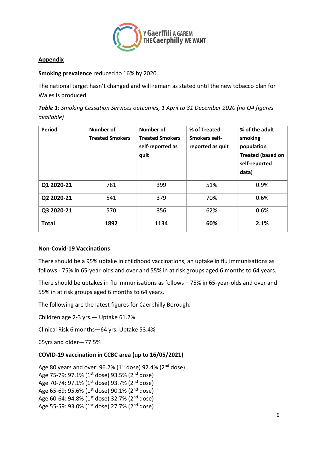

### **Appendix**

### **Smoking prevalence** reduced to 16% by 2020.

The national target hasn't changed and will remain as stated until the new tobacco plan for Wales is produced.

*Table 1: Smoking Cessation Services outcomes, 1 April to 31 December 2020 (no Q4 figures available)*

| Period       | Number of<br><b>Treated Smokers</b> | Number of<br><b>Treated Smokers</b><br>self-reported as<br>quit | % of Treated<br>Smokers self-<br>reported as quit | % of the adult<br>smoking<br>population<br><b>Treated (based on</b><br>self-reported<br>data) |
|--------------|-------------------------------------|-----------------------------------------------------------------|---------------------------------------------------|-----------------------------------------------------------------------------------------------|
| Q1 2020-21   | 781                                 | 399                                                             | 51%                                               | 0.9%                                                                                          |
| Q2 2020-21   | 541                                 | 379                                                             | 70%                                               | 0.6%                                                                                          |
| Q3 2020-21   | 570                                 | 356                                                             | 62%                                               | 0.6%                                                                                          |
| <b>Total</b> | 1892                                | 1134                                                            | 60%                                               | 2.1%                                                                                          |

### **Non-Covid-19 Vaccinations**

There should be a 95% uptake in childhood vaccinations, an uptake in flu immunisations as follows - 75% in 65-year-olds and over and 55% in at risk groups aged 6 months to 64 years.

There should be uptakes in flu immunisations as follows – 75% in 65-year-olds and over and 55% in at risk groups aged 6 months to 64 years.

The following are the latest figures for Caerphilly Borough.

Children age 2-3 yrs.— Uptake 61.2%

Clinical Risk 6 months—64 yrs. Uptake 53.4%

65yrs and older—77.5%

### **COVID-19 vaccination in CCBC area (up to 16/05/2021)**

```
Age 80 years and over: 96.2\% (1<sup>st</sup> dose) 92.4% (2<sup>nd</sup> dose)
Age 75-79: 97.1% (1<sup>st</sup> dose) 93.5% (2<sup>nd</sup> dose)
Age 70-74: 97.1% (1<sup>st</sup> dose) 93.7% (2<sup>nd</sup> dose)
Age 65-69: 95.6% (1<sup>st</sup> dose) 90.1% (2<sup>nd</sup> dose)
Age 60-64: 94.8% (1<sup>st</sup> dose) 32.7% (2<sup>nd</sup> dose)
Age 55-59: 93.0% (1<sup>st</sup> dose) 27.7% (2<sup>nd</sup> dose)
```